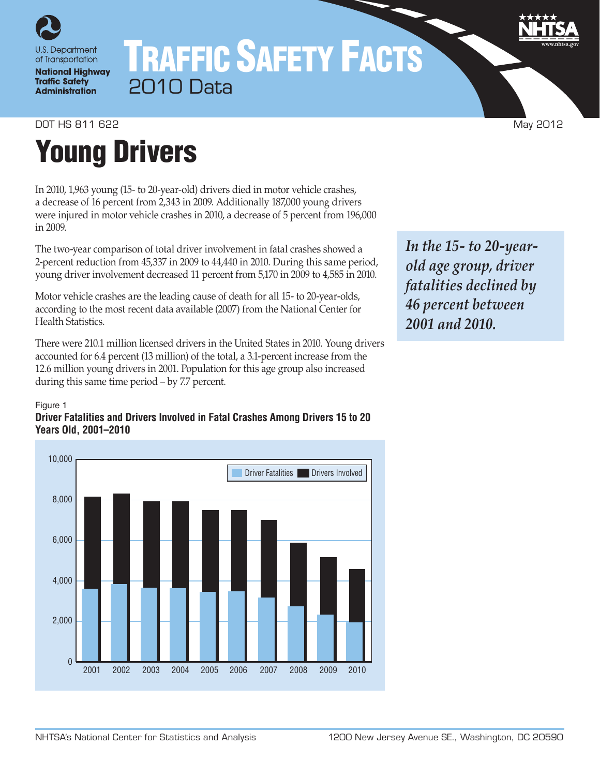

**National Highway Traffic Safety Administration** 

# TRAFFIC SAFETY FACTS 2010 Data

DOT HS 811 622 May 2012

# Young Drivers

In 2010, 1,963 young (15- to 20-year-old) drivers died in motor vehicle crashes, a decrease of 16 percent from 2,343 in 2009. Additionally 187,000 young drivers were injured in motor vehicle crashes in 2010, a decrease of 5 percent from 196,000 in 2009.

The two-year comparison of total driver involvement in fatal crashes showed a 2-percent reduction from 45,337 in 2009 to 44,440 in 2010. During this same period, young driver involvement decreased 11 percent from 5,170 in 2009 to 4,585 in 2010.

Motor vehicle crashes are the leading cause of death for all 15- to 20-year-olds, according to the most recent data available (2007) from the National Center for Health Statistics.

There were 210.1 million licensed drivers in the United States in 2010. Young drivers accounted for 6.4 percent (13 million) of the total, a 3.1-percent increase from the 12.6 million young drivers in 2001. Population for this age group also increased during this same time period – by 7.7 percent.

#### Figure 1

## **Driver Fatalities and Drivers Involved in Fatal Crashes Among Drivers 15 to 20 Years Old, 2001–2010**



*In the 15- to 20-yearold age group, driver fatalities declined by 46 percent between 2001 and 2010.*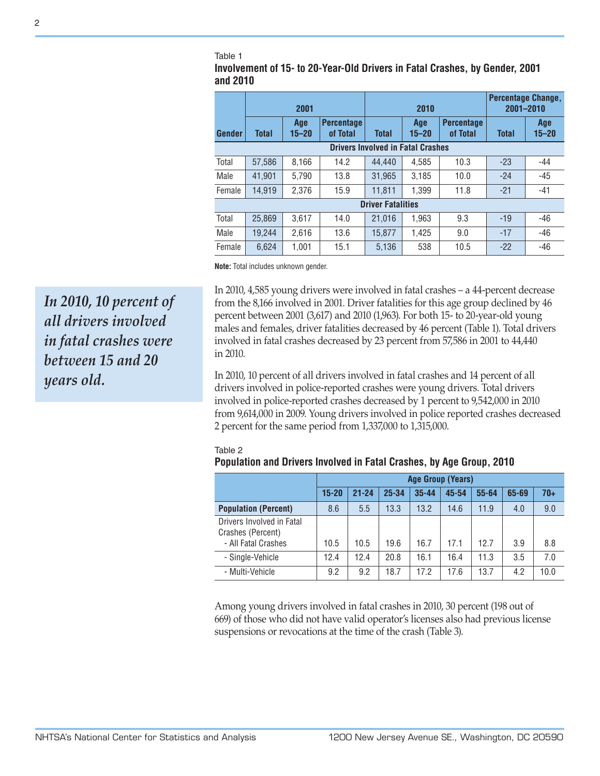#### Table 1

**Involvement of 15- to 20-Year-Old Drivers in Fatal Crashes, by Gender, 2001 and 2010**

|                                          | 2001         |                  |                               | 2010         |                  |                               | <b>Percentage Change,</b><br>2001-2010 |                  |
|------------------------------------------|--------------|------------------|-------------------------------|--------------|------------------|-------------------------------|----------------------------------------|------------------|
| <b>Gender</b>                            | <b>Total</b> | Age<br>$15 - 20$ | <b>Percentage</b><br>of Total | <b>Total</b> | Age<br>$15 - 20$ | <b>Percentage</b><br>of Total | <b>Total</b>                           | Age<br>$15 - 20$ |
| <b>Drivers Involved in Fatal Crashes</b> |              |                  |                               |              |                  |                               |                                        |                  |
| Total                                    | 57,586       | 8,166            | 14.2                          | 44.440       | 4.585            | 10.3                          | $-23$                                  | $-44$            |
| Male                                     | 41.901       | 5.790            | 13.8                          | 31.965       | 3.185            | 10.0                          | $-24$                                  | $-45$            |
| Female                                   | 14.919       | 2.376            | 15.9                          | 11.811       | 1.399            | 11.8                          | $-21$                                  | -41              |
| <b>Driver Fatalities</b>                 |              |                  |                               |              |                  |                               |                                        |                  |
| Total                                    | 25.869       | 3.617            | 14.0                          | 21,016       | 1.963            | 9.3                           | $-19$                                  | -46              |
| Male                                     | 19.244       | 2.616            | 13.6                          | 15.877       | 1.425            | 9.0                           | $-17$                                  | $-46$            |
| Female                                   | 6.624        | 1,001            | 15.1                          | 5,136        | 538              | 10.5                          | $-22$                                  | $-46$            |

**Note:** Total includes unknown gender.

in 2010. *In 2010, 10 percent of all drivers involved in fatal crashes were between 15 and 20 years old.*

In 2010, 4,585 young drivers were involved in fatal crashes – a 44-percent decrease from the 8,166 involved in 2001. Driver fatalities for this age group declined by 46 percent between 2001 (3,617) and 2010 (1,963). For both 15- to 20-year-old young males and females, driver fatalities decreased by 46 percent (Table 1). Total drivers involved in fatal crashes decreased by 23 percent from 57,586 in 2001 to 44,440

In 2010, 10 percent of all drivers involved in fatal crashes and 14 percent of all drivers involved in police-reported crashes were young drivers. Total drivers involved in police-reported crashes decreased by 1 percent to 9,542,000 in 2010 from 9,614,000 in 2009. Young drivers involved in police reported crashes decreased 2 percent for the same period from 1,337,000 to 1,315,000.

| י טויטז של השטחש טוויטזיט ווויטוויט וווי מנמו טומטווטט, אך הקט מוטמאָט |           |                          |           |           |       |           |       |       |  |
|------------------------------------------------------------------------|-----------|--------------------------|-----------|-----------|-------|-----------|-------|-------|--|
|                                                                        |           | <b>Age Group (Years)</b> |           |           |       |           |       |       |  |
|                                                                        | $15 - 20$ | $21 - 24$                | $25 - 34$ | $35 - 44$ | 45-54 | $55 - 64$ | 65-69 | $70+$ |  |
| <b>Population (Percent)</b>                                            | 8.6       | 5.5                      | 13.3      | 13.2      | 14.6  | 11.9      | 4.0   | 9.0   |  |
| Drivers Involved in Fatal<br>Crashes (Percent)<br>- All Fatal Crashes  | 10.5      | 10.5                     | 19.6      | 16.7      | 17.1  | 12.7      | 3.9   | 8.8   |  |
| - Single-Vehicle                                                       | 12.4      | 12.4                     | 20.8      | 16.1      | 16.4  | 11.3      | 3.5   | 7.0   |  |
| - Multi-Vehicle                                                        | 9.2       | 9.2                      | 18.7      | 17.2      | 17.6  | 13.7      | 4.2   | 10.0  |  |

#### Table 2 **Population and Drivers Involved in Fatal Crashes, by Age Group, 2010**

Among young drivers involved in fatal crashes in 2010, 30 percent (198 out of 669) of those who did not have valid operator's licenses also had previous license suspensions or revocations at the time of the crash (Table 3).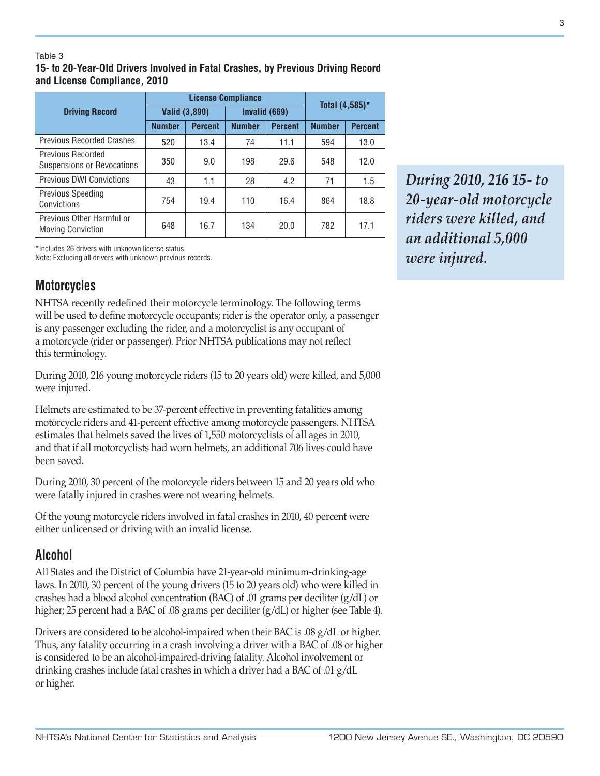#### Table 3

**15- to 20-Year-Old Drivers Involved in Fatal Crashes, by Previous Driving Record and License Compliance, 2010**

|                                                        |               | <b>License Compliance</b> | Total (4,585)* |                |               |                |
|--------------------------------------------------------|---------------|---------------------------|----------------|----------------|---------------|----------------|
| <b>Driving Record</b>                                  | Valid (3,890) |                           |                | Invalid (669)  |               |                |
|                                                        | <b>Number</b> | <b>Percent</b>            | <b>Number</b>  | <b>Percent</b> | <b>Number</b> | <b>Percent</b> |
| <b>Previous Recorded Crashes</b>                       | 520           | 13.4                      | 74             | 11.1           | 594           | 13.0           |
| <b>Previous Recorded</b><br>Suspensions or Revocations | 350           | 9.0                       | 198            | 29.6           | 548           | 12.0           |
| <b>Previous DWI Convictions</b>                        | 43            | 1.1                       | 28             | 4.2            | 71            | 1.5            |
| <b>Previous Speeding</b><br>Convictions                | 754           | 19.4                      | 110            | 16.4           | 864           | 18.8           |
| Previous Other Harmful or<br><b>Moving Conviction</b>  | 648           | 16.7                      | 134            | 20.0           | 782           | 17.1           |

\*Includes 26 drivers with unknown license status.

Note: Excluding all drivers with unknown previous records.

# **Motorcycles**

NHTSA recently redefined their motorcycle terminology. The following terms will be used to define motorcycle occupants; rider is the operator only, a passenger is any passenger excluding the rider, and a motorcyclist is any occupant of a motorcycle (rider or passenger). Prior NHTSA publications may not reflect this terminology.

During 2010, 216 young motorcycle riders (15 to 20 years old) were killed, and 5,000 were injured.

Helmets are estimated to be 37-percent effective in preventing fatalities among motorcycle riders and 41-percent effective among motorcycle passengers. NHTSA estimates that helmets saved the lives of 1,550 motorcyclists of all ages in 2010, and that if all motorcyclists had worn helmets, an additional 706 lives could have been saved.

During 2010, 30 percent of the motorcycle riders between 15 and 20 years old who were fatally injured in crashes were not wearing helmets.

Of the young motorcycle riders involved in fatal crashes in 2010, 40 percent were either unlicensed or driving with an invalid license.

# **Alcohol**

All States and the District of Columbia have 21-year-old minimum-drinking-age laws. In 2010, 30 percent of the young drivers (15 to 20 years old) who were killed in crashes had a blood alcohol concentration (BAC) of .01 grams per deciliter (g/dL) or higher; 25 percent had a BAC of .08 grams per deciliter (g/dL) or higher (see Table 4).

Drivers are considered to be alcohol-impaired when their BAC is .08 g/dL or higher. Thus, any fatality occurring in a crash involving a driver with a BAC of .08 or higher is considered to be an alcohol-impaired-driving fatality. Alcohol involvement or drinking crashes include fatal crashes in which a driver had a BAC of .01 g/dL or higher.

*During 2010, 216 15- to 20-year-old motorcycle riders were killed, and an additional 5,000 were injured.*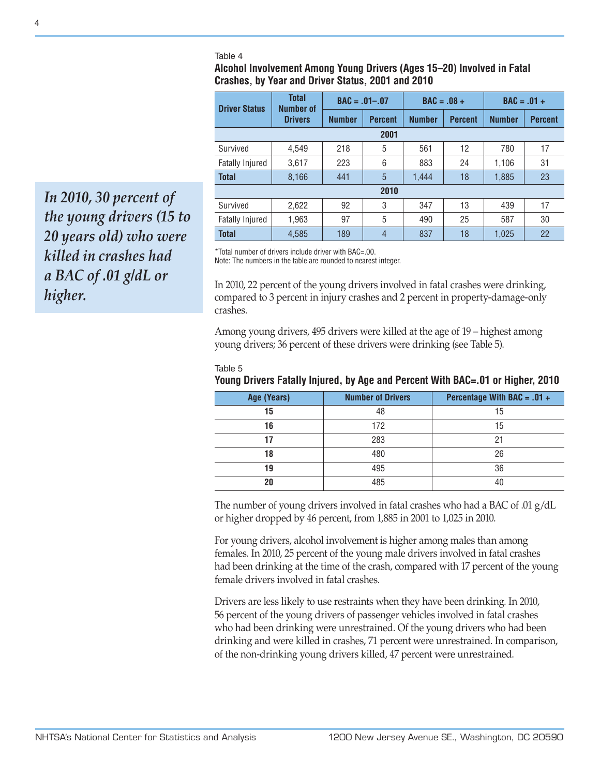#### Table 4

### **Alcohol Involvement Among Young Drivers (Ages 15–20) Involved in Fatal Crashes, by Year and Driver Status, 2001 and 2010**

| <b>Driver Status</b>   | <b>Total</b><br><b>Number of</b> | $BAC = .01-.07$ |                | $BAC = .08 +$ |                | $BAC = .01 +$ |                |  |
|------------------------|----------------------------------|-----------------|----------------|---------------|----------------|---------------|----------------|--|
|                        | <b>Drivers</b>                   | <b>Number</b>   | <b>Percent</b> | <b>Number</b> | <b>Percent</b> | <b>Number</b> | <b>Percent</b> |  |
|                        | 2001                             |                 |                |               |                |               |                |  |
| Survived               | 4.549                            | 218             | 5              | 561           | 12             | 780           | 17             |  |
| <b>Fatally Injured</b> | 3,617                            | 223             | 6              | 883           | 24             | 1,106         | 31             |  |
| <b>Total</b>           | 8,166                            | 441             | 5              | 1.444         | 18             | 1,885         | 23             |  |
|                        | 2010                             |                 |                |               |                |               |                |  |
| Survived               | 2,622                            | 92              | 3              | 347           | 13             | 439           | 17             |  |
| <b>Fatally Injured</b> | 1,963                            | 97              | 5              | 490           | 25             | 587           | 30             |  |
| <b>Total</b>           | 4,585                            | 189             | $\overline{4}$ | 837           | 18             | 1,025         | 22             |  |

\*Total number of drivers include driver with BAC=.00.

Note: The numbers in the table are rounded to nearest integer.

In 2010, 22 percent of the young drivers involved in fatal crashes were drinking, compared to 3 percent in injury crashes and 2 percent in property-damage-only crashes.

Among young drivers, 495 drivers were killed at the age of 19 – highest among young drivers; 36 percent of these drivers were drinking (see Table 5).

| × |  |
|---|--|
|   |  |

# **Young Drivers Fatally Injured, by Age and Percent With BAC=.01 or Higher, 2010**

| Age (Years) | <b>Number of Drivers</b> | Percentage With BAC = $.01 +$ |
|-------------|--------------------------|-------------------------------|
| 15          | 48                       | 15                            |
| 16          | 172                      | 15                            |
|             | 283                      | 21                            |
| 18          | 480                      | 26                            |
| 19          | 495                      | 36                            |
| 20          | 485                      | 40                            |

The number of young drivers involved in fatal crashes who had a BAC of .01  $g/dL$ or higher dropped by 46 percent, from 1,885 in 2001 to 1,025 in 2010.

For young drivers, alcohol involvement is higher among males than among females. In 2010, 25 percent of the young male drivers involved in fatal crashes had been drinking at the time of the crash, compared with 17 percent of the young female drivers involved in fatal crashes.

Drivers are less likely to use restraints when they have been drinking. In 2010, 56 percent of the young drivers of passenger vehicles involved in fatal crashes who had been drinking were unrestrained. Of the young drivers who had been drinking and were killed in crashes, 71 percent were unrestrained. In comparison, of the non-drinking young drivers killed, 47 percent were unrestrained.

*In 2010, 30 percent of the young drivers (15 to 20 years old) who were killed in crashes had a BAC of .01 g/dL or higher.*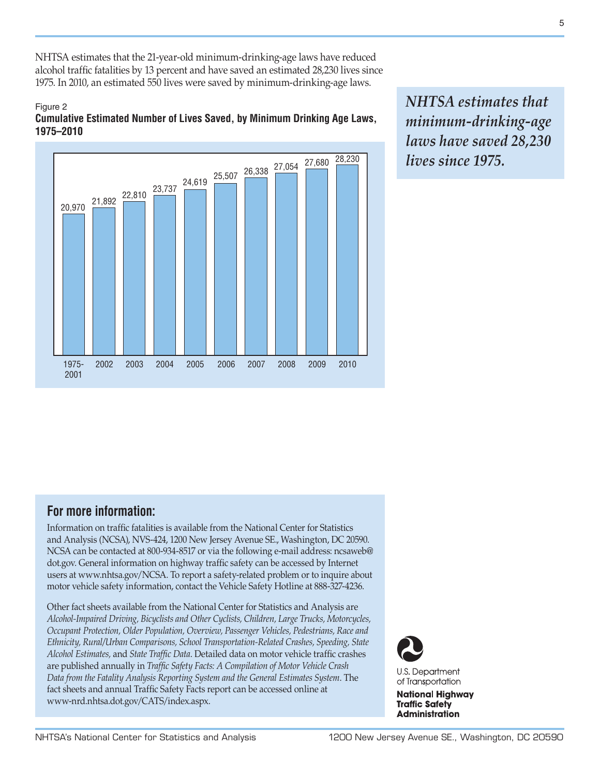NHTSA estimates that the 21-year-old minimum-drinking-age laws have reduced alcohol traffic fatalities by 13 percent and have saved an estimated 28,230 lives since 1975. In 2010, an estimated 550 lives were saved by minimum-drinking-age laws.

### Figure 2 **Cumulative Estimated Number of Lives Saved, by Minimum Drinking Age Laws, 1975–2010**



*NHTSA estimates that minimum-drinking-age laws have saved 28,230 lives since 1975.*

# **For more information:**

Information on traffic fatalities is available from the National Center for Statistics and Analysis (NCSA), NVS-424, 1200 New Jersey Avenue SE., Washington, DC 20590. NCSA can be contacted at 800-934-8517 or via the following e-mail address: [ncsaweb@](mailto:ncsaweb%40dot.gov?subject=) [dot.gov](mailto:ncsaweb%40dot.gov?subject=). General information on highway traffic safety can be accessed by Internet users at [www.nhtsa.gov/NCSA.](www.nhtsa.gov/NCSA) To report a safety-related problem or to inquire about motor vehicle safety information, contact the Vehicle Safety Hotline at 888-327-4236.

Other fact sheets available from the National Center for Statistics and Analysis are *Alcohol-Impaired Driving, Bicyclists and Other Cyclists, Children, Large Trucks, Motorcycles, Occupant Protection, Older Population, Overview, Passenger Vehicles, Pedestrians, Race and Ethnicity, Rural/Urban Comparisons, School Transportation-Related Crashes, Speeding, State Alcohol Estimates,* and *State Traffic Data*. Detailed data on motor vehicle traffic crashes are published annually in *Traffic Safety Facts: A Compilation of Motor Vehicle Crash Data from the Fatality Analysis Reporting System and the General Estimates System*. The fact sheets and annual Traffic Safety Facts report can be accessed online at [www-nrd.nhtsa.dot.gov/CATS/index.aspx.](http://www-nrd.nhtsa.dot.gov/CATS/index.aspx)



**National Highway Traffic Safety Administration**